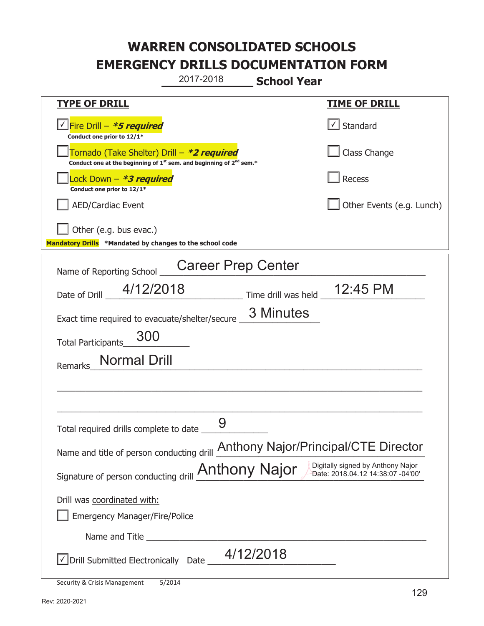**\_\_\_\_\_\_\_\_\_\_\_\_\_ School Year**  2017-2018

| <b>TYPE OF DRILL</b>                                                                                                                      | <b>TIME OF DRILL</b>              |  |
|-------------------------------------------------------------------------------------------------------------------------------------------|-----------------------------------|--|
| √Fire Drill – <i>*<b>5 required</b></i><br>Conduct one prior to 12/1*                                                                     | $\lfloor \angle \rfloor$ Standard |  |
| Tornado (Take Shelter) Drill – *2 required<br>Conduct one at the beginning of 1 <sup>st</sup> sem. and beginning of 2 <sup>nd</sup> sem.* | Class Change                      |  |
| Lock Down - *3 required<br>Conduct one prior to 12/1*                                                                                     | Recess                            |  |
| <b>AED/Cardiac Event</b>                                                                                                                  | Other Events (e.g. Lunch)         |  |
| Other (e.g. bus evac.)<br>Mandatory Drills *Mandated by changes to the school code                                                        |                                   |  |
| <b>Career Prep Center</b><br>Name of Reporting School                                                                                     |                                   |  |
| 4/12/2018<br>Date of Drill                                                                                                                | Time drill was held 12:45 PM      |  |
| 3 Minutes<br>Exact time required to evacuate/shelter/secure _                                                                             |                                   |  |
| 300<br>Total Participants                                                                                                                 |                                   |  |
| <b>Normal Drill</b><br>Remarks                                                                                                            |                                   |  |
|                                                                                                                                           |                                   |  |
| Total required drills complete to date                                                                                                    |                                   |  |
| Name and title of person conducting drill <b>Anthony Najor/Principal/CTE Director</b>                                                     |                                   |  |
| Digitally signed by Anthony Najor<br>Signature of person conducting drill <b>Anthony Najor</b><br>Date: 2018.04.12 14:38:07 -04'00'       |                                   |  |
| Drill was coordinated with:                                                                                                               |                                   |  |
| <b>Emergency Manager/Fire/Police</b>                                                                                                      |                                   |  |
|                                                                                                                                           |                                   |  |
| 4/12/2018<br>√ Drill Submitted Electronically Date                                                                                        |                                   |  |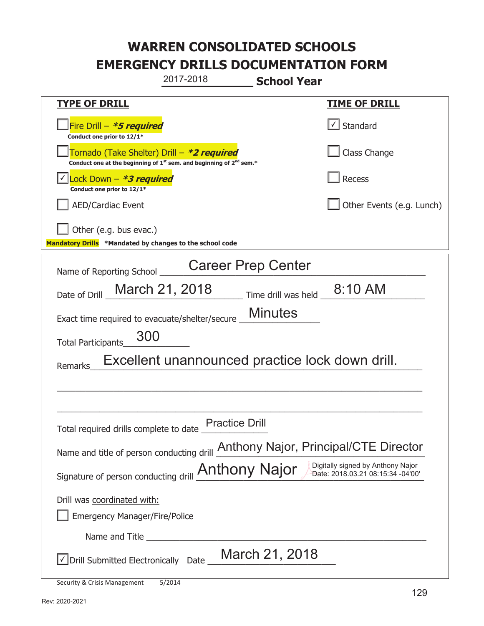**\_\_\_\_\_\_\_\_\_\_\_\_\_ School Year TYPE OF DRILL TIME OF DRILL**  侊Fire Drill – **\*5 required Conduct one prior to 12/1\***   $\boxed{\checkmark}$  Standard 侊Tornado (Take Shelter) Drill – **\*2 required** Conduct one at the beginning of 1<sup>st</sup> sem. and beginning of 2<sup>nd</sup> sem.\* Class Change 侊Lock Down – **\*3 required** ✔ **Conduct one prior to 12/1\* Recess** AED/Cardiac Event **AED/Cardiac Event Network Network Network Network Network Network Network Network Network Network Network Network Network Network Network Network Network Network Net** Other (e.g. bus evac.) **Mandatory Drills \*Mandated by changes to the school code**  Name of Reporting School \_\_\_\_\_\_\_\_\_\_\_\_\_\_\_\_\_\_\_\_\_\_\_\_\_\_\_\_\_\_\_\_\_\_\_\_\_\_\_\_\_\_\_\_\_\_\_\_\_\_\_\_\_\_\_\_ Date of Drill  $\frac{\text{March 21, 2018}}{\text{Time drill was held } 8.10 \text{ AM}}$ Exact time required to evacuate/shelter/secure Minutes Total Participants\_\_\_\_\_\_\_\_\_\_\_\_\_\_ Remarks\_Excellent unannounced practice lock down drill.  $\_$  , and the set of the set of the set of the set of the set of the set of the set of the set of the set of the set of the set of the set of the set of the set of the set of the set of the set of the set of the set of th  $\_$  , and the set of the set of the set of the set of the set of the set of the set of the set of the set of the set of the set of the set of the set of the set of the set of the set of the set of the set of the set of th Total required drills complete to date Practice Drill Name and title of person conducting drill **Anthony Najor, Principal/CTE Director** Signature of person conducting drill **Anthony Najor** Digitally signed by Anthony Najor Drill was coordinated with: ܆ Emergency Manager/Fire/Police Name and Title **Example 20**  $\sqrt{2}$  Drill Submitted Electronically Date  $\sqrt{2}$  March 21, 2018 2017-2018 Career Prep Center 300 March 21, 2018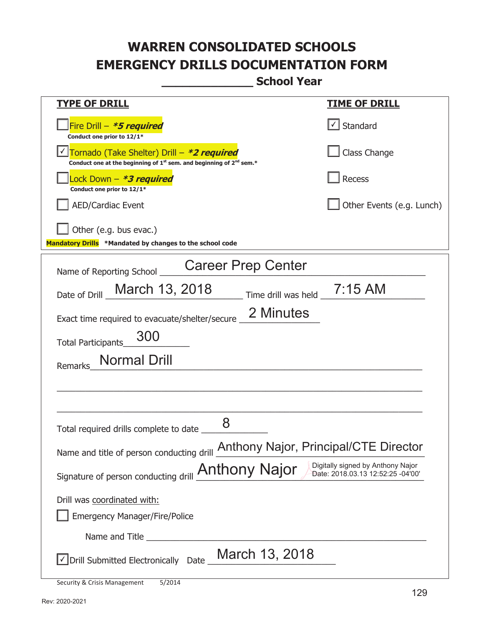**\_\_\_\_\_\_\_\_\_\_\_\_\_ School Year** 

| <u>TYPE OF DRILL</u>                                                                                                                | <u>TIME OF DRILL</u>      |
|-------------------------------------------------------------------------------------------------------------------------------------|---------------------------|
| Fire Drill - *5 required<br>Conduct one prior to 12/1*                                                                              | $\vert$ Standard          |
| Tornado (Take Shelter) Drill – *2 required<br>Conduct one at the beginning of $1^{st}$ sem. and beginning of $2^{nd}$ sem.*         | Class Change              |
| Lock Down – <b>*<i>3 required</i></b><br>Conduct one prior to 12/1*                                                                 | <b>Recess</b>             |
| <b>AED/Cardiac Event</b>                                                                                                            | Other Events (e.g. Lunch) |
| Other (e.g. bus evac.)<br>Mandatory Drills *Mandated by changes to the school code                                                  |                           |
| <b>Career Prep Center</b><br>Name of Reporting School                                                                               |                           |
| March 13, 2018<br>Time drill was held _ 7:15 AM<br>Date of Drill                                                                    |                           |
| 2 Minutes<br>Exact time required to evacuate/shelter/secure                                                                         |                           |
| 300<br><b>Total Participants</b>                                                                                                    |                           |
| Normal Drill<br>Remarks                                                                                                             |                           |
|                                                                                                                                     |                           |
|                                                                                                                                     |                           |
| 8<br>Total required drills complete to date                                                                                         |                           |
| Name and title of person conducting drill <b>Anthony Najor</b> , Principal/CTE Director                                             |                           |
| Digitally signed by Anthony Najor<br>Signature of person conducting drill <b>Anthony Najor</b><br>Date: 2018.03.13 12:52:25 -04'00' |                           |
| Drill was coordinated with:                                                                                                         |                           |
| <b>Emergency Manager/Fire/Police</b>                                                                                                |                           |
| Name and Title <b>Name</b>                                                                                                          |                           |
| March 13, 2018<br>√ Drill Submitted Electronically Date _                                                                           |                           |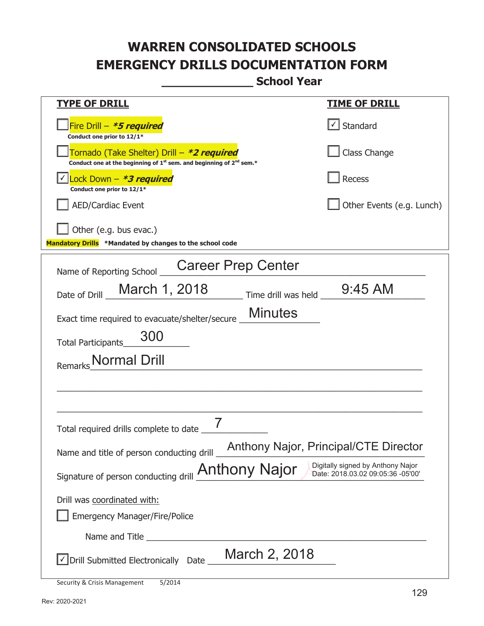**\_\_\_\_\_\_\_\_\_\_\_\_\_ School Year** 

| <u>TYPE OF DRILL</u>                                                                                                                      | <u>TIME OF DRILL</u>      |
|-------------------------------------------------------------------------------------------------------------------------------------------|---------------------------|
| Fire Drill - *5 required<br>Conduct one prior to 12/1*                                                                                    | $\cup$ Standard           |
| Tornado (Take Shelter) Drill – *2 required<br>Conduct one at the beginning of 1 <sup>st</sup> sem. and beginning of 2 <sup>nd</sup> sem.* | Class Change              |
| Lock Down $-$ <b>*3 required</b><br>Conduct one prior to 12/1*                                                                            | Recess                    |
| <b>AED/Cardiac Event</b>                                                                                                                  | Other Events (e.g. Lunch) |
| Other (e.g. bus evac.)<br>Mandatory Drills *Mandated by changes to the school code                                                        |                           |
| <b>Career Prep Center</b><br>Name of Reporting School                                                                                     |                           |
| Time drill was held 9:45 AM<br>March 1, 2018<br>Date of Drill                                                                             |                           |
| <b>Minutes</b><br>Exact time required to evacuate/shelter/secure _                                                                        |                           |
| 300<br><b>Total Participants</b>                                                                                                          |                           |
| Normal Drill                                                                                                                              |                           |
|                                                                                                                                           |                           |
|                                                                                                                                           |                           |
| Total required drills complete to date                                                                                                    |                           |
| Anthony Najor, Principal/CTE Director<br>Name and title of person conducting drill                                                        |                           |
| Digitally signed by Anthony Najor<br>Signature of person conducting drill <b>Anthony Najor</b><br>Date: 2018.03.02 09:05:36 -05'00'       |                           |
| Drill was coordinated with:                                                                                                               |                           |
| <b>Emergency Manager/Fire/Police</b>                                                                                                      |                           |
| Name and Title                                                                                                                            |                           |
| March 2, 2018<br>$\sqrt{}$ Drill Submitted Electronically Date                                                                            |                           |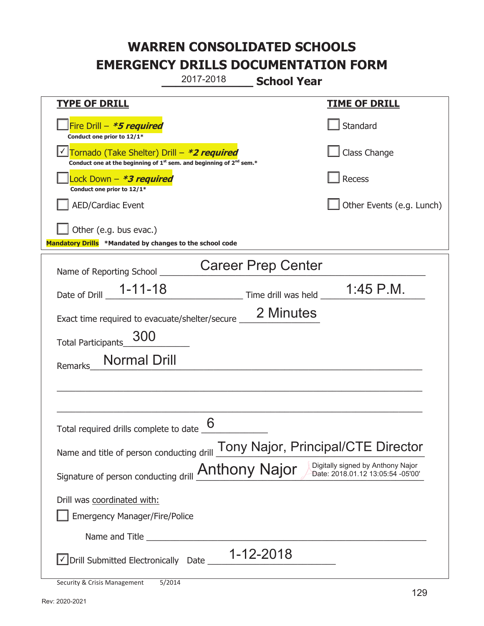**\_\_\_\_\_\_\_\_\_\_\_\_\_ School Year**  2017-2018

| <b>TYPE OF DRILL</b>                                                                                                                      | <u>TIME OF DRILL</u>      |  |
|-------------------------------------------------------------------------------------------------------------------------------------------|---------------------------|--|
| Fire Drill - *5 required<br>Conduct one prior to 12/1*                                                                                    | Standard                  |  |
| Tornado (Take Shelter) Drill - *2 required<br>Conduct one at the beginning of 1 <sup>st</sup> sem. and beginning of 2 <sup>nd</sup> sem.* | Class Change              |  |
| Lock Down - *3 required<br>Conduct one prior to 12/1*                                                                                     | <b>Recess</b>             |  |
| <b>AED/Cardiac Event</b>                                                                                                                  | Other Events (e.g. Lunch) |  |
| Other (e.g. bus evac.)<br>Mandatory Drills *Mandated by changes to the school code                                                        |                           |  |
| <b>Career Prep Center</b><br>Name of Reporting School                                                                                     |                           |  |
| Date of Drill 1-11-18 Time drill was held 1:45 P.M.                                                                                       |                           |  |
| 2 Minutes<br>Exact time required to evacuate/shelter/secure ___                                                                           |                           |  |
| 300<br><b>Total Participants</b>                                                                                                          |                           |  |
| <b>Normal Drill</b><br>Remarks                                                                                                            |                           |  |
|                                                                                                                                           |                           |  |
| Total required drills complete to date                                                                                                    |                           |  |
| Tony Najor, Principal/CTE Director<br>Name and title of person conducting drill                                                           |                           |  |
| Digitally signed by Anthony Najor<br>Signature of person conducting drill <b>Anthony Najor</b><br>Date: 2018.01.12 13:05:54 -05'00'       |                           |  |
| Drill was coordinated with:                                                                                                               |                           |  |
| <b>Emergency Manager/Fire/Police</b>                                                                                                      |                           |  |
|                                                                                                                                           |                           |  |
| 1-12-2018<br>√ Drill Submitted Electronically Date                                                                                        |                           |  |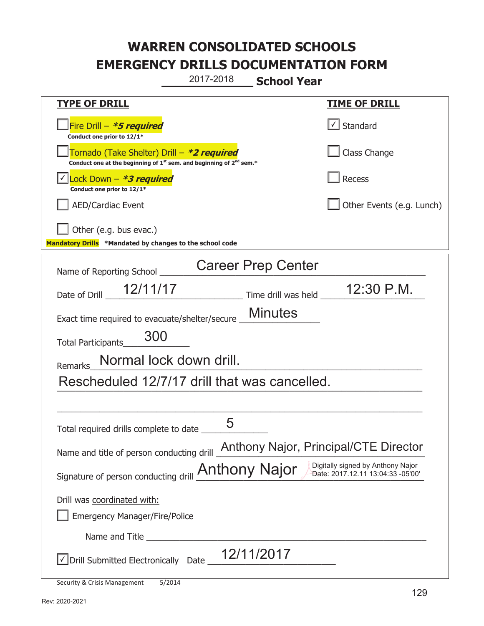**\_\_\_\_\_\_\_\_\_\_\_\_\_ School Year**  2017-2018

| <b>TYPE OF DRILL</b>                                                                                                                      | <u>TIME OF DRILL</u>                             |  |
|-------------------------------------------------------------------------------------------------------------------------------------------|--------------------------------------------------|--|
| Fire Drill - *5 required<br>Conduct one prior to 12/1*                                                                                    | $\vert\textcolor{red}{\checkmark}\vert$ Standard |  |
| Tornado (Take Shelter) Drill – *2 required<br>Conduct one at the beginning of 1 <sup>st</sup> sem. and beginning of 2 <sup>nd</sup> sem.* | Class Change                                     |  |
| Lock Down $-$ <b>*3 required</b><br>Conduct one prior to 12/1*                                                                            | <b>Recess</b>                                    |  |
| <b>AED/Cardiac Event</b>                                                                                                                  | Other Events (e.g. Lunch)                        |  |
| Other (e.g. bus evac.)                                                                                                                    |                                                  |  |
| Mandatory Drills *Mandated by changes to the school code                                                                                  |                                                  |  |
| <b>Career Prep Center</b><br>Name of Reporting School                                                                                     |                                                  |  |
| Date of Drill 12/11/17<br>Time drill was held _                                                                                           | 12:30 P.M.                                       |  |
| <b>Minutes</b><br>Exact time required to evacuate/shelter/secure _                                                                        |                                                  |  |
| 300<br><b>Total Participants</b>                                                                                                          |                                                  |  |
| Normal lock down drill.<br>Remarks                                                                                                        |                                                  |  |
| Rescheduled 12/7/17 drill that was cancelled.                                                                                             |                                                  |  |
|                                                                                                                                           |                                                  |  |
| 5<br>Total required drills complete to date _                                                                                             |                                                  |  |
| Anthony Najor, Principal/CTE Director<br>Name and title of person conducting drill                                                        |                                                  |  |
| Digitally signed by Anthony Najor<br>Signature of person conducting drill <b>Anthony Najor</b><br>Date: 2017.12.11 13:04:33 -05'00'       |                                                  |  |
| Drill was coordinated with:<br><b>Emergency Manager/Fire/Police</b>                                                                       |                                                  |  |
|                                                                                                                                           |                                                  |  |
| Drill Submitted Electronically $\,$ Date $\_$ $\,12/11/2017$                                                                              |                                                  |  |

Security & Crisis Management 5/2014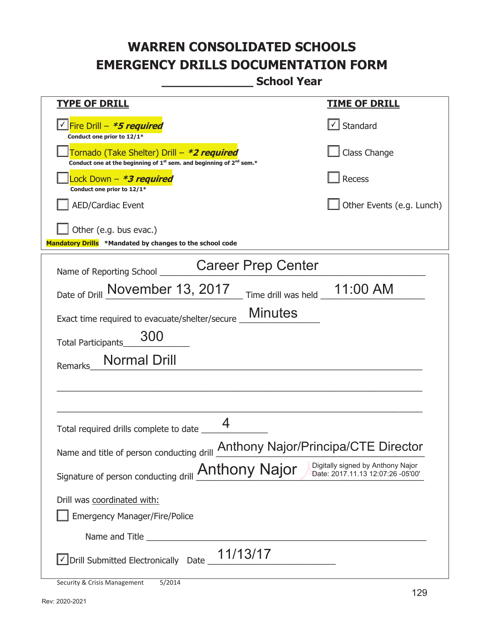**\_\_\_\_\_\_\_\_\_\_\_\_\_ School Year** 

| <u>TYPE OF DRILL</u>                                                                                                                | <u>TIME OF DRILL</u>      |
|-------------------------------------------------------------------------------------------------------------------------------------|---------------------------|
| <u>√ Fire Drill – <i>*5 required</i></u><br>Conduct one prior to 12/1*                                                              | $\cup$ Standard           |
| Tornado (Take Shelter) Drill – *2 required<br>Conduct one at the beginning of $1^{st}$ sem. and beginning of $2^{nd}$ sem.*         | Class Change              |
| Lock Down - <b>*3 required</b><br>Conduct one prior to 12/1*                                                                        | <b>Recess</b>             |
| <b>AED/Cardiac Event</b>                                                                                                            | Other Events (e.g. Lunch) |
| Other (e.g. bus evac.)<br>Mandatory Drills *Mandated by changes to the school code                                                  |                           |
| <b>Career Prep Center</b><br>Name of Reporting School _                                                                             |                           |
| Date of Drill November 13, 2017<br>Time drill was held                                                                              | 11:00 AM                  |
| <b>Minutes</b><br>Exact time required to evacuate/shelter/secure                                                                    |                           |
| 300<br><b>Total Participants</b>                                                                                                    |                           |
| <b>Normal Drill</b><br>Remarks                                                                                                      |                           |
|                                                                                                                                     |                           |
|                                                                                                                                     |                           |
| 4<br>Total required drills complete to date _                                                                                       |                           |
| Name and title of person conducting drill <b>Anthony Najor/Principa/CTE Director</b>                                                |                           |
| Digitally signed by Anthony Najor<br>Signature of person conducting drill <b>Anthony Najor</b><br>Date: 2017.11.13 12:07:26 -05'00' |                           |
| Drill was coordinated with:                                                                                                         |                           |
| <b>Emergency Manager/Fire/Police</b>                                                                                                |                           |
|                                                                                                                                     |                           |
| 11/13/17<br>√ Drill Submitted Electronically Date                                                                                   |                           |
|                                                                                                                                     |                           |

Security & Crisis Management 5/2014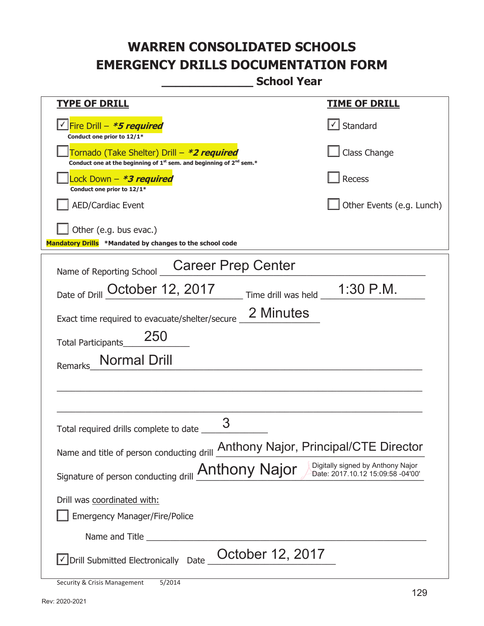**\_\_\_\_\_\_\_\_\_\_\_\_\_ School Year** 

| <b>TYPE OF DRILL</b>                                                                                                                      | <b>TIME OF DRILL</b>                  |  |
|-------------------------------------------------------------------------------------------------------------------------------------------|---------------------------------------|--|
| √ Fire Drill – <i>*<b>5 required</b></i><br>Conduct one prior to 12/1*                                                                    | $\lfloor \checkmark \rfloor$ Standard |  |
| Tornado (Take Shelter) Drill – *2 required<br>Conduct one at the beginning of 1 <sup>st</sup> sem. and beginning of 2 <sup>nd</sup> sem.* | Class Change                          |  |
| Lock Down - <b>*3 required</b><br>Conduct one prior to 12/1*                                                                              | Recess                                |  |
| <b>AED/Cardiac Event</b>                                                                                                                  | Other Events (e.g. Lunch)             |  |
| Other (e.g. bus evac.)<br>Mandatory Drills *Mandated by changes to the school code                                                        |                                       |  |
| <b>Career Prep Center</b><br>Name of Reporting School                                                                                     |                                       |  |
| $\frac{1}{2}$ Time drill was held $\frac{1}{2}$ 1:30 P.M.<br>Date of Drill October 12, 2017                                               |                                       |  |
| 2 Minutes<br>Exact time required to evacuate/shelter/secure                                                                               |                                       |  |
| 250<br>Total Participants                                                                                                                 |                                       |  |
| Normal Drill<br>Remarks                                                                                                                   |                                       |  |
|                                                                                                                                           |                                       |  |
| 3<br>Total required drills complete to date _                                                                                             |                                       |  |
| Name and title of person conducting drill <b>Anthony Najor</b> , Principal/CTE Director                                                   |                                       |  |
| Digitally signed by Anthony Najor<br>Signature of person conducting drill <b>Anthony Najor</b><br>Date: 2017.10.12 15:09:58 -04'00'       |                                       |  |
| Drill was coordinated with:                                                                                                               |                                       |  |
| <b>Emergency Manager/Fire/Police</b>                                                                                                      |                                       |  |
| Name and Title                                                                                                                            |                                       |  |
| October 12, 2017<br>Drill Submitted Electronically Date                                                                                   |                                       |  |

Security & Crisis Management 5/2014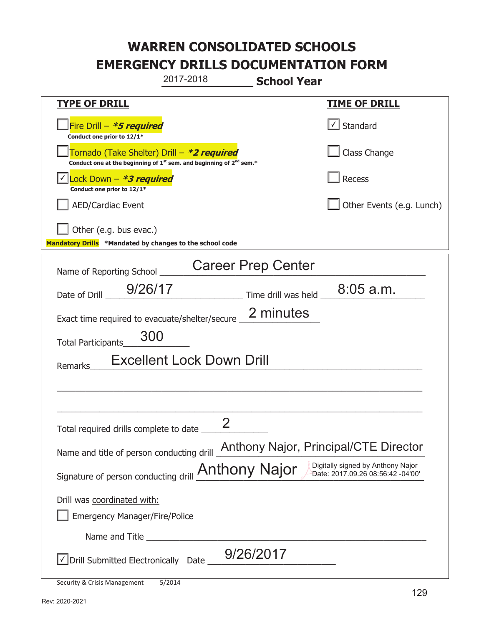Security & Crisis Management 5/2014 **\_\_\_\_\_\_\_\_\_\_\_\_\_ School Year TYPE OF DRILL TIME OF DRILL**  侊Fire Drill – **\*5 required Conduct one prior to 12/1\***   $\boxed{\checkmark}$  Standard 侊Tornado (Take Shelter) Drill – **\*2 required Conduct one at the beginning of 1<sup>st</sup> sem. and beginning of 2<sup>nd</sup> sem.\*** Class Change 侊Lock Down – **\*3 required** ✔ **Conduct one prior to 12/1\* Recess** AED/Cardiac Event **AED/Cardiac Event Network Network Network Network Network Network Network Network Network Network Network Network Network Network Network Network Network Network Net** Other (e.g. bus evac.) **Mandatory Drills \*Mandated by changes to the school code**  Name of Reporting School Date of Drill  $\frac{9/26/17}{2}$  Time drill was held  $\frac{8:05 \text{ a.m.}}{2}$ Exact time required to evacuate/shelter/secure  $\frac{2 \text{ minutes}}{2}$ Total Participants\_\_\_\_\_\_\_\_\_\_\_\_\_\_ Remarks\_\_\_\_\_\_Excellent Lock Down Drill \_\_\_\_\_\_\_\_\_\_\_\_\_\_\_\_\_\_\_\_\_\_\_\_\_\_\_\_\_\_\_\_\_\_\_\_\_\_\_\_\_\_\_\_\_\_\_\_\_\_\_\_\_\_\_\_\_\_\_\_\_\_\_\_\_\_\_\_\_\_\_\_\_\_\_\_\_  $\_$  , and the set of the set of the set of the set of the set of the set of the set of the set of the set of the set of the set of the set of the set of the set of the set of the set of the set of the set of the set of th Total required drills complete to date \_\_\_\_\_\_\_\_\_\_\_\_\_\_ Name and title of person conducting drill Anthony Najor, Principal/CTE Director Signature of person conducting drill **Anthony Najor** Digitally signed by Anthony Najor Drill was coordinated with: ܆ Emergency Manager/Fire/Police Name and Title **Example 20**  $\sqrt{2}$  Drill Submitted Electronically Date  $\frac{9/26/2017}{2}$ 2017-2018 Career Prep Center 300 2